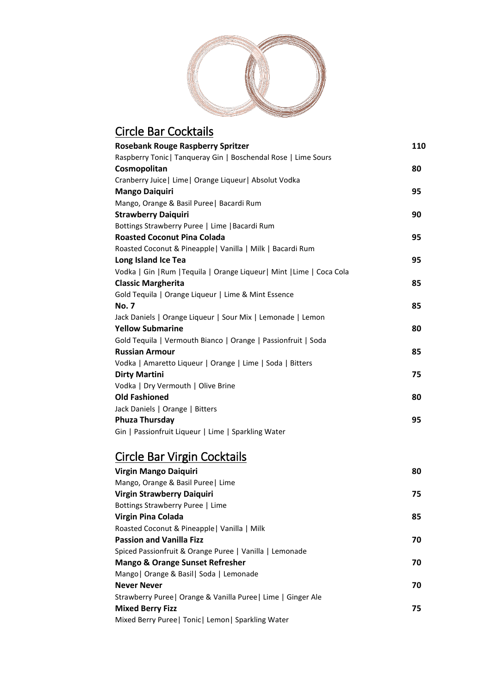

#### Circle Bar Cocktails **Rosebank Rouge Raspberry Spritzer 110** Raspberry Tonic| Tanqueray Gin | Boschendal Rose | Lime Sours **Cosmopolitan 80** Cranberry Juice| Lime| Orange Liqueur| Absolut Vodka **Mango Daiquiri 95** Mango, Orange & Basil Puree| Bacardi Rum **Strawberry Daiquiri 90** Bottings Strawberry Puree | Lime |Bacardi Rum **Roasted Coconut Pina Colada 95** Roasted Coconut & Pineapple| Vanilla | Milk | Bacardi Rum **Long Island Ice Tea 95** Vodka | Gin |Rum |Tequila | Orange Liqueur| Mint |Lime | Coca Cola **Classic Margherita 85** Gold Tequila | Orange Liqueur | Lime & Mint Essence **No. 7 85** Jack Daniels | Orange Liqueur | Sour Mix | Lemonade | Lemon **Yellow Submarine 80** Gold Tequila | Vermouth Bianco | Orange | Passionfruit | Soda **Russian Armour 85** Vodka | Amaretto Liqueur | Orange | Lime | Soda | Bitters **Dirty Martini 75** Vodka | Dry Vermouth | Olive Brine **Old Fashioned 80** Jack Daniels | Orange | Bitters **Phuza Thursday 95** Gin | Passionfruit Liqueur | Lime | Sparkling Water Circle Bar Virgin Cocktails **Virgin Mango Daiquiri 80** Mango, Orange & Basil Puree| Lime **Virgin Strawberry Daiquiri 75** Bottings Strawberry Puree | Lime

| Bottings Strawberry Puree   Lime                              |    |
|---------------------------------------------------------------|----|
| Virgin Pina Colada                                            | 85 |
| Roasted Coconut & Pineapple   Vanilla   Milk                  |    |
| <b>Passion and Vanilla Fizz</b>                               | 70 |
| Spiced Passionfruit & Orange Puree   Vanilla   Lemonade       |    |
| <b>Mango &amp; Orange Sunset Refresher</b>                    | 70 |
| Mango   Orange & Basil   Soda   Lemonade                      |    |
| Never Never                                                   | 70 |
| Strawberry Puree   Orange & Vanilla Puree   Lime   Ginger Ale |    |
| <b>Mixed Berry Fizz</b>                                       | 75 |
| Mixed Berry Puree   Tonic   Lemon   Sparkling Water           |    |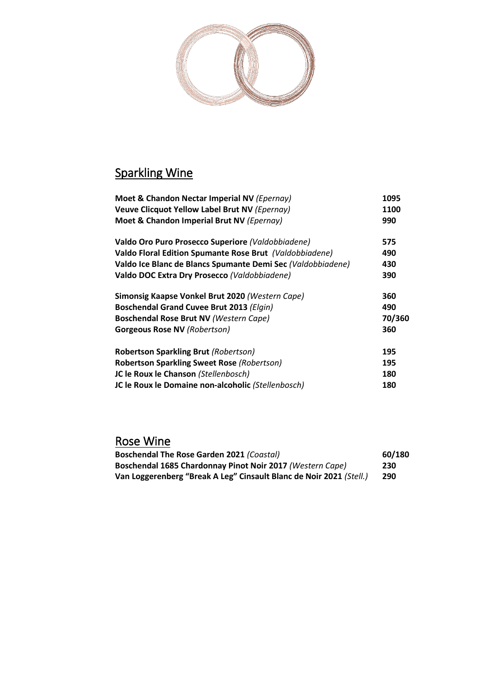

# Sparkling Wine

| Moet & Chandon Nectar Imperial NV (Epernay)                 | 1095   |
|-------------------------------------------------------------|--------|
| Veuve Clicquot Yellow Label Brut NV (Epernay)               | 1100   |
| Moet & Chandon Imperial Brut NV (Epernay)                   | 990    |
| Valdo Oro Puro Prosecco Superiore (Valdobbiadene)           | 575    |
| Valdo Floral Edition Spumante Rose Brut (Valdobbiadene)     | 490    |
| Valdo Ice Blanc de Blancs Spumante Demi Sec (Valdobbiadene) | 430    |
| Valdo DOC Extra Dry Prosecco (Valdobbiadene)                | 390    |
| Simonsig Kaapse Vonkel Brut 2020 (Western Cape)             | 360    |
| Boschendal Grand Cuvee Brut 2013 (Elgin)                    | 490    |
| Boschendal Rose Brut NV (Western Cape)                      | 70/360 |
| <b>Gorgeous Rose NV (Robertson)</b>                         | 360    |
| <b>Robertson Sparkling Brut (Robertson)</b>                 | 195    |
| <b>Robertson Sparkling Sweet Rose (Robertson)</b>           | 195    |
| JC le Roux le Chanson (Stellenbosch)                        | 180    |
| JC le Roux le Domaine non-alcoholic (Stellenbosch)          | 180    |
|                                                             |        |

# Rose Wine

| <b>Boschendal The Rose Garden 2021 (Coastal)</b>                    | 60/180 |
|---------------------------------------------------------------------|--------|
| Boschendal 1685 Chardonnay Pinot Noir 2017 (Western Cape)           | 230    |
| Van Loggerenberg "Break A Leg" Cinsault Blanc de Noir 2021 (Stell.) | 290    |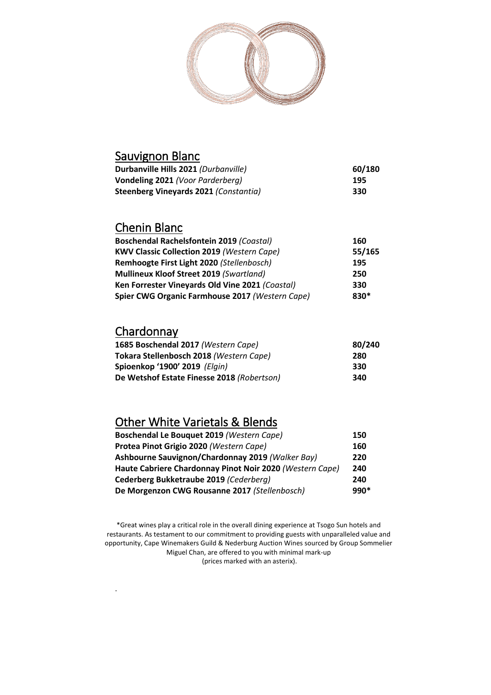

| Sauvignon Blanc                       |        |
|---------------------------------------|--------|
| Durbanville Hills 2021 (Durbanville)  | 60/180 |
| Vondeling 2021 (Voor Parderberg)      | 195    |
| Steenberg Vineyards 2021 (Constantia) | 330    |
|                                       |        |

## Chenin Blanc

| <b>Boschendal Rachelsfontein 2019 (Coastal)</b>   | 160    |
|---------------------------------------------------|--------|
| <b>KWV Classic Collection 2019 (Western Cape)</b> | 55/165 |
| Remhoogte First Light 2020 (Stellenbosch)         | 195    |
| <b>Mullineux Kloof Street 2019 (Swartland)</b>    | 250    |
| Ken Forrester Vineyards Old Vine 2021 (Coastal)   | 330    |
| Spier CWG Organic Farmhouse 2017 (Western Cape)   | 830*   |

#### **Chardonnay**

.

| 1685 Boschendal 2017 (Western Cape)        | 80/240 |
|--------------------------------------------|--------|
| Tokara Stellenbosch 2018 (Western Cape)    | 280    |
| Spioenkop '1900' 2019 (Elgin)              | 330    |
| De Wetshof Estate Finesse 2018 (Robertson) | 340    |

## Other White Varietals & Blends

| Boschendal Le Bouquet 2019 (Western Cape)                | 150    |
|----------------------------------------------------------|--------|
| Protea Pinot Grigio 2020 (Western Cape)                  | 160    |
| Ashbourne Sauvignon/Chardonnay 2019 (Walker Bay)         | 220    |
| Haute Cabriere Chardonnay Pinot Noir 2020 (Western Cape) | 240    |
| Cederberg Bukketraube 2019 (Cederberg)                   | 240    |
| De Morgenzon CWG Rousanne 2017 (Stellenbosch)            | $990*$ |

\*Great wines play a critical role in the overall dining experience at Tsogo Sun hotels and restaurants. As testament to our commitment to providing guests with unparalleled value and opportunity, Cape Winemakers Guild & Nederburg Auction Wines sourced by Group Sommelier Miguel Chan, are offered to you with minimal mark-up (prices marked with an asterix).